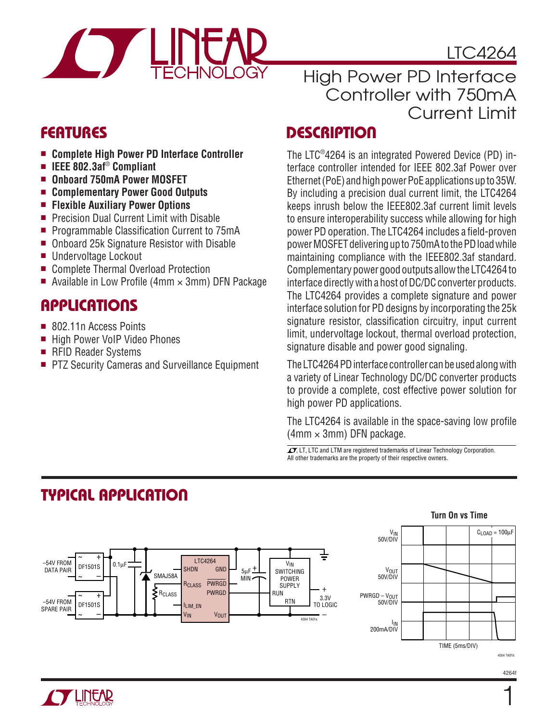

LTC4264

## **FEATURES**

- **Complete High Power PD Interface Controller**
- **IEEE 802.3af**® **Compliant**
- **Onboard 750mA Power MOSFET**
- **Complementary Power Good Outputs**
- **Flexible Auxiliary Power Options**
- Precision Dual Current Limit with Disable
- Programmable Classification Current to 75mA
- Onboard 25k Signature Resistor with Disable
- Undervoltage Lockout
- Complete Thermal Overload Protection
- Available in Low Profile (4mm  $\times$  3mm) DFN Package

## **APPLICATIONS**

- 802.11n Access Points
- High Power VoIP Video Phones
- RFID Reader Systems
- PTZ Security Cameras and Surveillance Equipment

## High Power PD Interface Controller with 750mA Current Limit

## **DESCRIPTION**

The LTC®4264 is an integrated Powered Device (PD) interface controller intended for IEEE 802.3af Power over Ethernet (PoE) and high power PoE applications up to 35W. By including a precision dual current limit, the LTC4264 keeps inrush below the IEEE802.3af current limit levels to ensure interoperability success while allowing for high power PD operation. The LTC4264 includes a field-proven power MOSFET delivering up to 750mA to the PD load while maintaining compliance with the IEEE802.3af standard. Complementary power good outputs allow the LTC4264 to interface directly with a host of DC/DC converter products. The LTC4264 provides a complete signature and power interface solution for PD designs by incorporating the 25k signature resistor, classification circuitry, input current limit, undervoltage lockout, thermal overload protection, signature disable and power good signaling.

The LTC4264 PD interface controller can be used along with a variety of Linear Technology DC/DC converter products to provide a complete, cost effective power solution for high power PD applications.

The LTC4264 is available in the space-saving low profile  $(4mm \times 3mm)$  DFN package.

**Turn On vs Time**

 $\sqrt{27}$ , LT, LTC and LTM are registered trademarks of Linear Technology Corporation. All other trademarks are the property of their respective owners.



# **TYPICAL APPLICATION**



1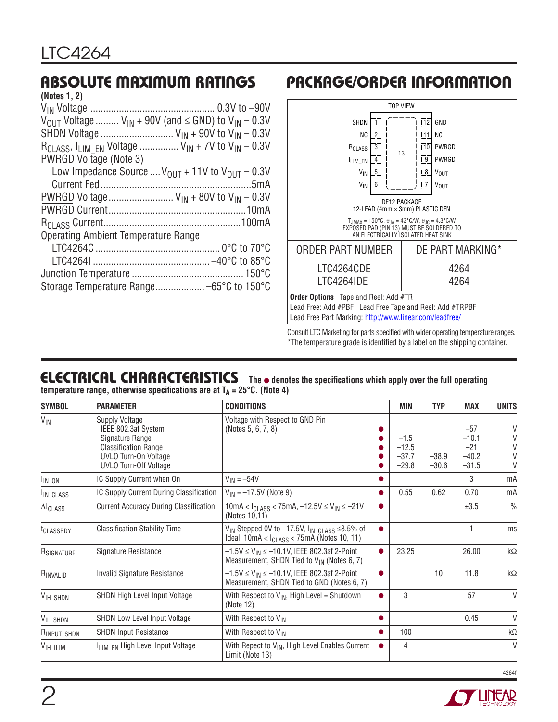# **ABSOLUTE MAXIMUM RATINGS**

| (Notes 1, 2)                                                                                                                          |  |
|---------------------------------------------------------------------------------------------------------------------------------------|--|
|                                                                                                                                       |  |
| $V_{\text{OUT}}$ Voltage $V_{\text{IN}}$ + 90V (and $\leq$ GND) to $V_{\text{IN}}$ – 0.3V                                             |  |
| SHDN Voltage $V_{IN}$ + 90V to $V_{IN}$ – 0.3V                                                                                        |  |
| $R_{\text{CLASS}}$ , $I_{\text{LIM}}$ $_{\text{EN}}$ Voltage $V_{\text{IN}} + 7V$ to $V_{\text{IN}} - 0.3V$<br>PWRGD Voltage (Note 3) |  |
| Low Impedance Source $V_{OUT}$ + 11V to $V_{OUT}$ – 0.3V                                                                              |  |
|                                                                                                                                       |  |
| PWRGD Voltage $V_{IN}$ + 80V to $V_{IN}$ – 0.3V                                                                                       |  |
|                                                                                                                                       |  |
|                                                                                                                                       |  |
| Operating Ambient Temperature Range                                                                                                   |  |
|                                                                                                                                       |  |
|                                                                                                                                       |  |
|                                                                                                                                       |  |
| Storage Temperature Range -65°C to 150°C                                                                                              |  |
|                                                                                                                                       |  |

# **PACKAGE/ORDER INFORMATION**



Consult LTC Marketing for parts specified with wider operating temperature ranges. \*The temperature grade is identified by a label on the shipping container.

#### **ELECTRICAL CHARACTERISTICS** The  $\bullet$  denotes the specifications which apply over the full operating temperature range, otherwise specifications are at T<sub>A</sub> = 25°C. (Note 4)

| <b>SYMBOL</b>             | <b>PARAMETER</b>                                                                                                                                       | <b>CONDITIONS</b>                                                                                                             |           | MIN                                     | <b>TYP</b>         | <b>MAX</b>                                      | <b>UNITS</b>                         |
|---------------------------|--------------------------------------------------------------------------------------------------------------------------------------------------------|-------------------------------------------------------------------------------------------------------------------------------|-----------|-----------------------------------------|--------------------|-------------------------------------------------|--------------------------------------|
| $V_{\text{IN}}$           | <b>Supply Voltage</b><br>IEEE 802.3af System<br>Signature Range<br><b>Classification Range</b><br>UVLO Turn-On Voltage<br><b>UVLO Turn-Off Voltage</b> | Voltage with Respect to GND Pin<br>(Notes 5, 6, 7, 8)                                                                         |           | $-1.5$<br>$-12.5$<br>$-37.7$<br>$-29.8$ | $-38.9$<br>$-30.6$ | $-57$<br>$-10.1$<br>$-21$<br>$-40.2$<br>$-31.5$ | $\vee$<br>V<br>V<br>$\vee$<br>$\vee$ |
| $I_{IN_ON}$               | IC Supply Current when On                                                                                                                              | $V_{1N} = -54V$                                                                                                               |           |                                         |                    | 3                                               | mA                                   |
| I <sub>IN_CLASS</sub>     | IC Supply Current During Classification                                                                                                                | $V_{IN} = -17.5V$ (Note 9)                                                                                                    |           | 0.55                                    | 0.62               | 0.70                                            | mA                                   |
| $\Delta I_{\text{CLASS}}$ | <b>Current Accuracy During Classification</b>                                                                                                          | $10mA < I_{\text{CLASS}} < 75mA$ , $-12.5V \le V_{\text{IN}} \le -21V$<br>(Notes 10,11)                                       |           |                                         |                    | ±3.5                                            | $\frac{0}{0}$                        |
| t <sub>CLASSRDY</sub>     | <b>Classification Stability Time</b>                                                                                                                   | $V_{IN}$ Stepped 0V to -17.5V, $I_{IN}$ <sub>CLASS</sub> $\leq$ 3.5% of<br>Ideal, $10mA < ICLASS < 75mA$ (Notes 10, 11)       | $\bullet$ |                                         |                    | $\mathbf{1}$                                    | ms                                   |
| R <sub>SIGNATURE</sub>    | Signature Resistance                                                                                                                                   | $-1.5$ V $\leq$ V <sub>IN</sub> $\leq$ -10.1V, IEEE 802.3af 2-Point<br>Measurement, SHDN Tied to V <sub>IN</sub> (Notes 6, 7) | $\bullet$ | 23.25                                   |                    | 26.00                                           | $k\Omega$                            |
| RINVALID                  | <b>Invalid Signature Resistance</b>                                                                                                                    | $-1.5$ V $\leq$ V <sub>IN</sub> $\leq$ -10.1V, IEEE 802.3af 2-Point<br>Measurement, SHDN Tied to GND (Notes 6, 7)             | $\bullet$ |                                         | 10                 | 11.8                                            | $k\Omega$                            |
| V <sub>IH_SHDN</sub>      | SHDN High Level Input Voltage                                                                                                                          | With Respect to $V_{IN}$ , High Level = Shutdown<br>(Note 12)                                                                 | $\bullet$ | 3                                       |                    | 57                                              | $\vee$                               |
| VIL_SHDN                  | SHDN Low Level Input Voltage                                                                                                                           | With Respect to VIN                                                                                                           | $\bullet$ |                                         |                    | 0.45                                            | $\mathsf{V}$                         |
| RINPUT_SHDN               | <b>SHDN Input Resistance</b>                                                                                                                           | With Respect to V <sub>IN</sub>                                                                                               | $\bullet$ | 100                                     |                    |                                                 | kΩ                                   |
| $V_{\text{IH\_ILIM}}$     | I <sub>LIM</sub> EN High Level Input Voltage                                                                                                           | With Repect to $V_{IN}$ , High Level Enables Current<br>Limit (Note 13)                                                       | $\bullet$ | 4                                       |                    |                                                 | $\vee$                               |

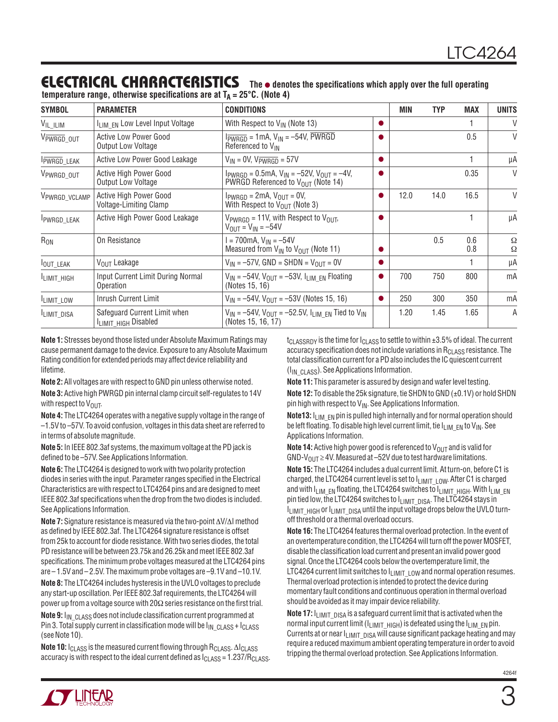#### **ELECTRICAL CHARACTERISTICS** The  $\bullet$  denotes the specifications which apply over the full operating **temperature range, otherwise specifications are at**  $T_A = 25^\circ C$ **.** (Note 4)

| <b>SYMBOL</b>      | <b>PARAMETER</b>                                          | <b>CONDITIONS</b>                                                                                            | MIN  | <b>TYP</b> | <b>MAX</b> | <b>UNITS</b>         |
|--------------------|-----------------------------------------------------------|--------------------------------------------------------------------------------------------------------------|------|------------|------------|----------------------|
| VIL_ILIM           | I <sub>LIM</sub> EN Low Level Input Voltage               | With Respect to $V_{IN}$ (Note 13)                                                                           |      |            |            | V                    |
| VPWRGD OUT         | <b>Active Low Power Good</b><br><b>Output Low Voltage</b> | $I_{\overline{PWRGB}} = 1 \text{mA}, V_{\text{IN}} = -54V, PWRGD$<br>Referenced to V <sub>IN</sub>           |      |            | 0.5        | $\vee$               |
| <b>IPWRGD_LEAK</b> | Active Low Power Good Leakage                             | $V_{IN}$ = 0V, $V_{PWRGB}$ = 57V                                                                             |      |            |            | μA                   |
| VPWRGD OUT         | Active High Power Good<br><b>Output Low Voltage</b>       | $I_{PWRGB} = 0.5 \text{mA}, V_{IN} = -52V, V_{OUT} = -4V,$<br>PWRGD Referenced to V <sub>OUT</sub> (Note 14) |      |            | 0.35       | $\vee$               |
| VPWRGD_VCLAMP      | Active High Power Good<br>Voltage-Limiting Clamp          | $I_{PWRGB} = 2mA$ , $V_{OUT} = 0V$ ,<br>With Respect to $V_{OUT}$ (Note 3)                                   | 12.0 | 14.0       | 16.5       | V                    |
| PWRGD_LEAK         | Active High Power Good Leakage                            | $V_{PWRGB)} = 11V$ , with Respect to $V_{O IIT}$ ,<br>$V_{OIII} = V_{IN} = -54V$                             |      |            |            | μA                   |
| $R_{ON}$           | On Resistance                                             | $= 700$ mA, $V_{IN} = -54V$<br>Measured from $V_{IN}$ to $V_{OUT}$ (Note 11)                                 |      | 0.5        | 0.6<br>0.8 | $\Omega$<br>$\Omega$ |
| OUT_LEAK           | V <sub>OUT</sub> Leakage                                  | $V_{IN} = -57V$ , GND = SHDN = $V_{OUIT} = 0V$                                                               |      |            |            | μA                   |
| ILIMIT_HIGH        | Input Current Limit During Normal<br>Operation            | $V_{IN} = -54V$ , $V_{OUT} = -53V$ , $I_{LIM}$ EN Floating<br>(Notes 15, 16)                                 | 700  | 750        | 800        | mA                   |
| ILIMIT_LOW         | Inrush Current Limit                                      | $V_{IN} = -54V$ , $V_{OIII} = -53V$ (Notes 15, 16)                                                           | 250  | 300        | 350        | mA                   |
| <b>ILIMIT DISA</b> | Safeguard Current Limit when<br>ILIMIT_HIGH Disabled      | $V_{IN}$ = -54V, $V_{OUT}$ = -52.5V, $I_{LIM}$ EN Tied to $V_{IN}$<br>(Notes 15, 16, 17)                     | 1.20 | 1.45       | 1.65       | A                    |

**Note 1:** Stresses beyond those listed under Absolute Maximum Ratings may cause permanent damage to the device. Exposure to any Absolute Maximum Rating condition for extended periods may affect device reliability and lifetime.

**Note 2:** All voltages are with respect to GND pin unless otherwise noted. **Note 3:** Active high PWRGD pin internal clamp circuit self-regulates to 14V with respect to  $V_{\text{OUT}}$ .

**Note 4:** The LTC4264 operates with a negative supply voltage in the range of –1.5V to –57V. To avoid confusion, voltages in this data sheet are referred to in terms of absolute magnitude.

**Note 5:** In IEEE 802.3af systems, the maximum voltage at the PD jack is defined to be -57V. See Applications Information.

**Note 6:** The LTC4264 is designed to work with two polarity protection diodes in series with the input. Parameter ranges specified in the Electrical Characteristics are with respect to LTC4264 pins and are designed to meet IEEE 802.3af specifications when the drop from the two diodes is included. See Applications Information.

**Note 7:** Signature resistance is measured via the two-point ΔV/ΔI method as defined by IEEE 802.3af. The LTC4264 signature resistance is offset from 25k to account for diode resistance. With two series diodes, the total PD resistance will be between 23.75k and 26.25k and meet IEEE 802.3af specifications. The minimum probe voltages measured at the LTC4264 pins are – 1.5V and – 2.5V. The maximum probe voltages are –9.1V and –10.1V. **Note 8:** The LTC4264 includes hysteresis in the UVLO voltages to preclude any start-up oscillation. Per IEEE 802.3af requirements, the LTC4264 will power up from a voltage source with 20 $\Omega$  series resistance on the first trial. **Note 9:** I<sub>IN</sub> <sub>CLASS</sub> does not include classification current programmed at Pin 3. Total supply current in classification mode will be  $I_{\text{IN}}$  class + I<sub>CLASS</sub> (see Note 10).

**Note 10:** I<sub>CLASS</sub> is the measured current flowing through R<sub>CLASS</sub>. ΔI<sub>CLASS</sub> accuracy is with respect to the ideal current defined as  $I_{CLASS} = 1.237/R_{CLASS}$ .  $t_{\text{CLASSRPY}}$  is the time for  $I_{\text{CLASS}}$  to settle to within  $\pm 3.5\%$  of ideal. The current accuracy specification does not include variations in  $R<sub>CLASS</sub>$  resistance. The total classification current for a PD also includes the IC quiescent current (I<sub>IN CLASS</sub>). See Applications Information.

**Note 11:** This parameter is assured by design and wafer level testing. **Note 12:** To disable the 25k signature, tie SHDN to GND (±0.1V) or hold SHDN pin high with respect to  $V_{IN}$ . See Applications Information.

**Note13:** I<sub>LIM</sub> EN pin is pulled high internally and for normal operation should be left floating. To disable high level current limit, tie  $I_{LIMEN}$  to  $V_{IN}$ . See Applications Information.

**Note 14:** Active high power good is referenced to  $V_{\text{OUT}}$  and is valid for GND-V<sub>OUT</sub>  $\geq$  4V. Measured at –52V due to test hardware limitations.

**Note 15:** The LTC4264 includes a dual current limit. At turn-on, before C1 is charged, the LTC4264 current level is set to  $I_{LIMITLOW}$ . After C1 is charged and with  $I_{LIMEN}$  floating, the LTC4264 switches to  $I_{LIMITHIGH}$ . With  $I_{LIMEN}$ pin tied low, the LTC4264 switches to  $I_{LIMIT-DISA}$ . The LTC4264 stays in  $I_{\text{LIMIT-HIGH}}$  or  $I_{\text{LIMIT-DISA}}$  until the input voltage drops below the UVLO turnoff threshold or a thermal overload occurs.

**Note 16:** The LTC4264 features thermal overload protection. In the event of an overtemperature condition, the LTC4264 will turn off the power MOSFET, disable the classification load current and present an invalid power good signal. Once the LTC4264 cools below the overtemperature limit, the LTC4264 current limit switches to  $I_{LIMITLOW}$  and normal operation resumes. Thermal overload protection is intended to protect the device during momentary fault conditions and continuous operation in thermal overload should be avoided as it may impair device reliability.

**Note 17:**  $I_{LIMIT}$  pisa is a safeguard current limit that is activated when the normal input current limit ( $I_{LIMIT-HIGH}$ ) is defeated using the  $I_{LIM-EN}$  pin. Currents at or near  $I_{LIMIT~~DISA}$  will cause significant package heating and may require a reduced maximum ambient operating temperature in order to avoid tripping the thermal overload protection. See Applications Information.



3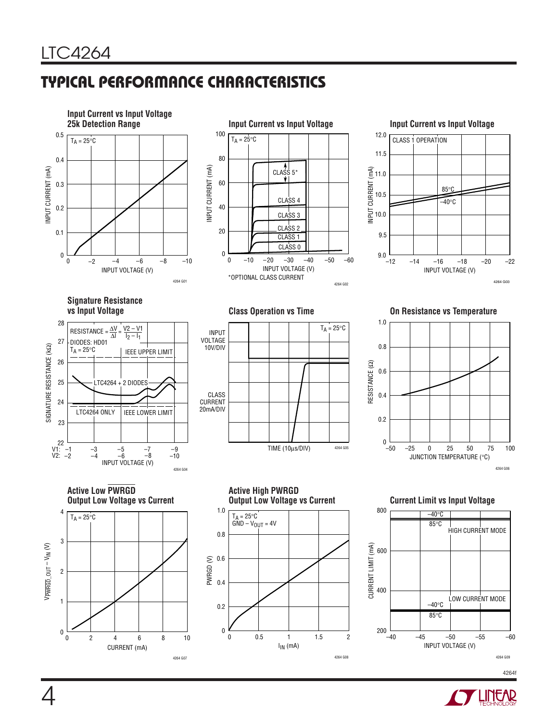4

# **TYPICAL PERFORMANCE CHARACTERISTICS**



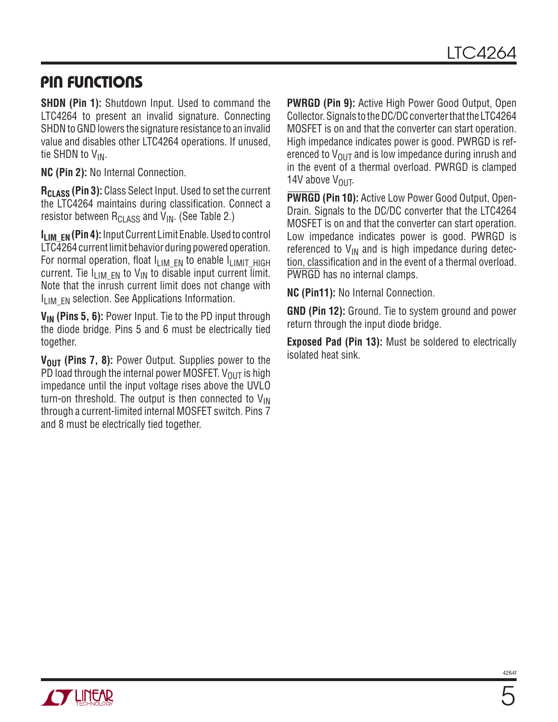### **PIN FUNCTIONS**

**SHDN (Pin 1):** Shutdown Input. Used to command the LTC4264 to present an invalid signature. Connecting SHDN to GND lowers the signature resistance to an invalid value and disables other LTC4264 operations. If unused, tie SHDN to  $V_{IN}$ .

**NC (Pin 2):** No Internal Connection.

**R<sub>CLASS</sub> (Pin 3):** Class Select Input. Used to set the current the LTC4264 maintains during classification. Connect a resistor between  $R_{C1,ASS}$  and  $V_{IN}$ . (See Table 2.)

**ILIM EN (Pin 4):** Input Current Limit Enable. Used to control LTC4264 current limit behavior during powered operation. For normal operation, float  $I_{LIMEN}$  to enable  $I_{LIMIT-HIGH}$ current. Tie  $I_{\text{I}}_{\text{IM}}$  F<sub>N</sub> to V<sub>IN</sub> to disable input current limit. Note that the inrush current limit does not change with  $I_{\text{IIM}}$   $_{\text{FN}}$  selection. See Applications Information.

**V<sub>IN</sub>** (Pins 5, 6): Power Input. Tie to the PD input through the diode bridge. Pins 5 and 6 must be electrically tied together.

**V<sub>OUT</sub>** (Pins 7, 8): Power Output. Supplies power to the PD load through the internal power MOSFET.  $V_{OUT}$  is high impedance until the input voltage rises above the UVLO turn-on threshold. The output is then connected to  $V_{\text{IN}}$ through a current-limited internal MOSFET switch. Pins 7 and 8 must be electrically tied together.

**PWRGD (Pin 9):** Active High Power Good Output, Open Collector. Signals to the DC/DC converter that the LTC4264 MOSFET is on and that the converter can start operation. High impedance indicates power is good. PWRGD is referenced to  $V_{\text{OUT}}$  and is low impedance during inrush and in the event of a thermal overload. PWRGD is clamped 14V above VOUT.

**PWRGD (Pin 10):** Active Low Power Good Output, Open-Drain. Signals to the DC/DC converter that the LTC4264 MOSFET is on and that the converter can start operation. Low impedance indicates power is good. PWRGD is referenced to  $V_{IN}$  and is high impedance during detection, classification and in the event of a thermal overload. PWRGD has no internal clamps.

**NC (Pin11):** No Internal Connection.

**GND (Pin 12):** Ground. Tie to system ground and power return through the input diode bridge.

**Exposed Pad (Pin 13):** Must be soldered to electrically isolated heat sink.

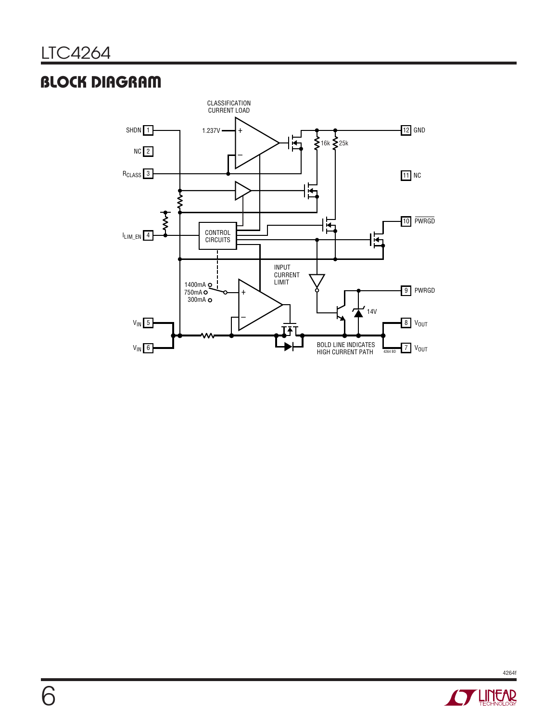# **BLOCK DIAGRAM**



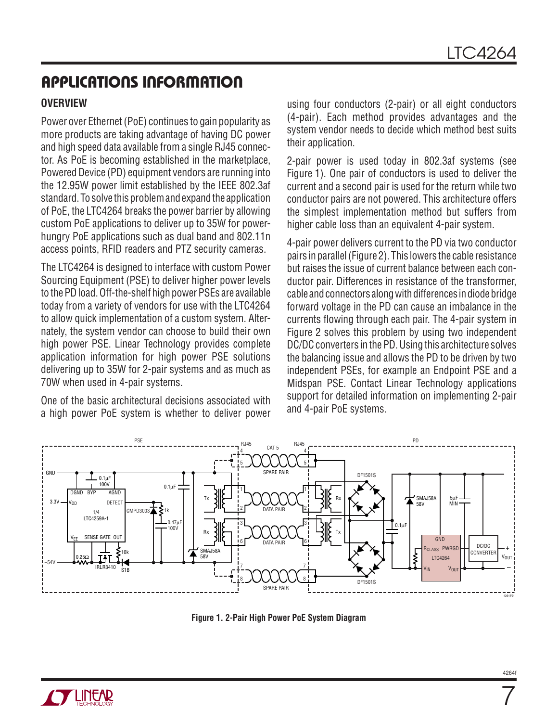#### **OVERVIEW**

Power over Ethernet (PoE) continues to gain popularity as more products are taking advantage of having DC power and high speed data available from a single RJ45 connector. As PoE is becoming established in the marketplace, Powered Device (PD) equipment vendors are running into the 12.95W power limit established by the IEEE 802.3af standard. To solve this problem and expand the application of PoE, the LTC4264 breaks the power barrier by allowing custom PoE applications to deliver up to 35W for powerhungry PoE applications such as dual band and 802.11n access points, RFID readers and PTZ security cameras.

The LTC4264 is designed to interface with custom Power Sourcing Equipment (PSE) to deliver higher power levels to the PD load. Off-the-shelf high power PSEs are available today from a variety of vendors for use with the LTC4264 to allow quick implementation of a custom system. Alternately, the system vendor can choose to build their own high power PSE. Linear Technology provides complete application information for high power PSE solutions delivering up to 35W for 2-pair systems and as much as 70W when used in 4-pair systems.

One of the basic architectural decisions associated with a high power PoE system is whether to deliver power using four conductors (2-pair) or all eight conductors (4-pair). Each method provides advantages and the system vendor needs to decide which method best suits their application.

2-pair power is used today in 802.3af systems (see Figure 1). One pair of conductors is used to deliver the current and a second pair is used for the return while two conductor pairs are not powered. This architecture offers the simplest implementation method but suffers from higher cable loss than an equivalent 4-pair system.

4-pair power delivers current to the PD via two conductor pairs in parallel (Figure 2). This lowers the cable resistance but raises the issue of current balance between each conductor pair. Differences in resistance of the transformer, cable and connectors along with differences in diode bridge forward voltage in the PD can cause an imbalance in the currents flowing through each pair. The 4-pair system in Figure 2 solves this problem by using two independent DC/DC converters in the PD. Using this architecture solves the balancing issue and allows the PD to be driven by two independent PSEs, for example an Endpoint PSE and a Midspan PSE. Contact Linear Technology applications support for detailed information on implementing 2-pair and 4-pair PoE systems.



**Figure 1. 2-Pair High Power PoE System Diagram**

7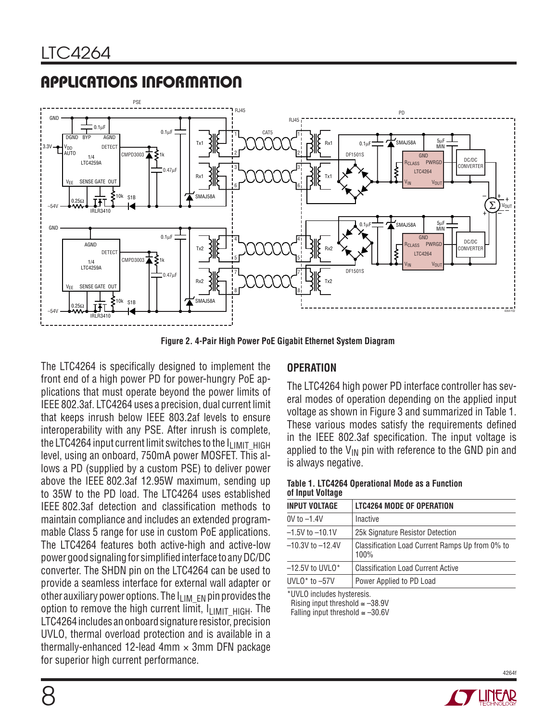

**Figure 2. 4-Pair High Power PoE Gigabit Ethernet System Diagram**

The LTC4264 is specifically designed to implement the front end of a high power PD for power-hungry PoE applications that must operate beyond the power limits of IEEE 802.3af. LTC4264 uses a precision, dual current limit that keeps inrush below IEEE 803.2af levels to ensure interoperability with any PSE. After inrush is complete, the LTC4264 input current limit switches to the  $I_{\text{LIMIT-HIGH}}$ level, using an onboard, 750mA power MOSFET. This allows a PD (supplied by a custom PSE) to deliver power above the IEEE 802.3af 12.95W maximum, sending up to 35W to the PD load. The LTC4264 uses established IEEE 802.3af detection and classification methods to maintain compliance and includes an extended programmable Class 5 range for use in custom PoE applications. The LTC4264 features both active-high and active-low power good signaling for simplified interface to any DC/DC converter. The SHDN pin on the LTC4264 can be used to provide a seamless interface for external wall adapter or other auxiliary power options. The  $I_{LIM-EN}$  pin provides the option to remove the high current limit,  $I_{LIMIT-HIGH}$ . The LTC4264 includes an onboard signature resistor, precision UVLO, thermal overload protection and is available in a thermally-enhanced 12-lead 4mm  $\times$  3mm DFN package for superior high current performance.

#### **OPERATION**

The LTC4264 high power PD interface controller has several modes of operation depending on the applied input voltage as shown in Figure 3 and summarized in Table 1. These various modes satisfy the requirements defined in the IEEE 802.3af specification. The input voltage is applied to the  $V_{1N}$  pin with reference to the GND pin and is always negative.

#### **Table 1. LTC4264 Operational Mode as a Function of Input Voltage**

| INPUT VOLTAGE        | <b>LTC4264 MODE OF OPERATION</b>                        |
|----------------------|---------------------------------------------------------|
| 0V to –1.4V          | Inactive                                                |
| $-1.5V$ to $-10.1V$  | 25k Signature Resistor Detection                        |
| $-10.3V$ to $-12.4V$ | Classification Load Current Ramps Up from 0% to<br>100% |
| $-12.5V$ to UVLO*    | <b>Classification Load Current Active</b>               |
| $UVLO^*$ to $-57V$   | Power Applied to PD Load                                |
|                      |                                                         |

\*UVLO includes hysteresis.

Rising input threshold  $\approx -38.9V$ 

Falling input threshold  $≤ -30.6V$ 

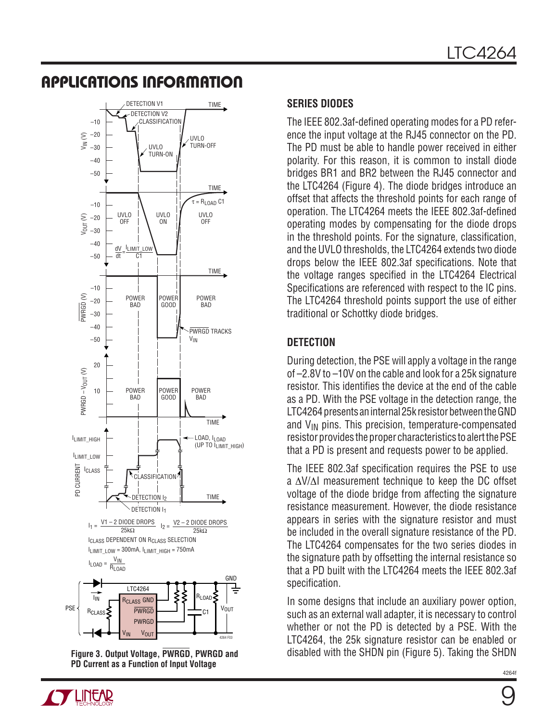

**Figure 3. Output Voltage, PWRGD, PWRGD and PD Current as a Function of Input Voltage**

#### **SERIES DIODES**

The IEEE 802.3af-defined operating modes for a PD reference the input voltage at the RJ45 connector on the PD. The PD must be able to handle power received in either polarity. For this reason, it is common to install diode bridges BR1 and BR2 between the RJ45 connector and the LTC4264 (Figure 4). The diode bridges introduce an offset that affects the threshold points for each range of operation. The LTC4264 meets the IEEE 802.3af-defined operating modes by compensating for the diode drops in the threshold points. For the signature, classification, and the UVLO thresholds, the LTC4264 extends two diode drops below the IEEE 802.3af specifications. Note that the voltage ranges specified in the LTC4264 Electrical Specifications are referenced with respect to the IC pins. The LTC4264 threshold points support the use of either traditional or Schottky diode bridges.

### **DETECTION**

During detection, the PSE will apply a voltage in the range of –2.8V to –10V on the cable and look for a 25k signature resistor. This identifies the device at the end of the cable as a PD. With the PSE voltage in the detection range, the LTC4264 presents an internal 25k resistor between the GND and  $V_{IN}$  pins. This precision, temperature-compensated resistor provides the proper characteristics to alert the PSE that a PD is present and requests power to be applied.

The IEEE 802.3af specification requires the PSE to use a ΔV/ΔI measurement technique to keep the DC offset voltage of the diode bridge from affecting the signature resistance measurement. However, the diode resistance appears in series with the signature resistor and must be included in the overall signature resistance of the PD. The LTC4264 compensates for the two series diodes in the signature path by offsetting the internal resistance so that a PD built with the LTC4264 meets the IEEE 802.3af specification.

In some designs that include an auxiliary power option, such as an external wall adapter, it is necessary to control whether or not the PD is detected by a PSE. With the LTC4264, the 25k signature resistor can be enabled or disabled with the SHDN pin (Figure 5). Taking the SHDN

9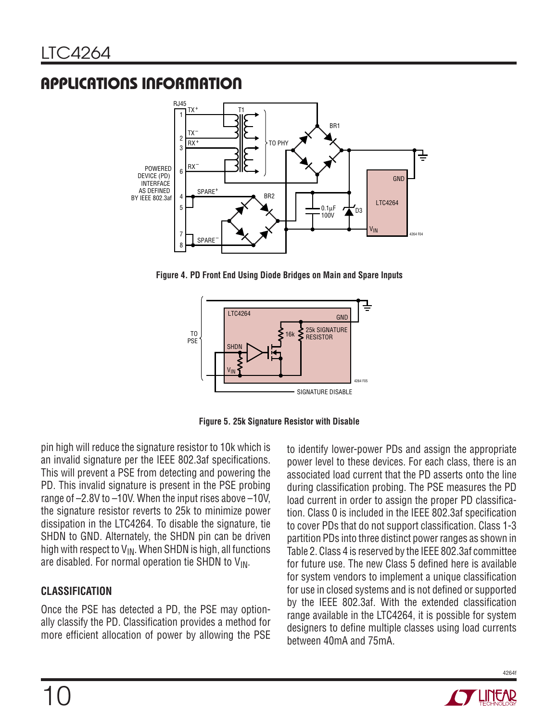

**Figure 4. PD Front End Using Diode Bridges on Main and Spare Inputs**





pin high will reduce the signature resistor to 10k which is an invalid signature per the IEEE 802.3af specifications. This will prevent a PSE from detecting and powering the PD. This invalid signature is present in the PSE probing range of –2.8V to –10V. When the input rises above –10V, the signature resistor reverts to 25k to minimize power dissipation in the LTC4264. To disable the signature, tie SHDN to GND. Alternately, the SHDN pin can be driven high with respect to  $V_{IN}$ . When SHDN is high, all functions are disabled. For normal operation tie SHDN to  $V_{\text{IN}}$ .

### **CLASSIFICATION**

Once the PSE has detected a PD, the PSE may optionally classify the PD. Classification provides a method for more efficient allocation of power by allowing the PSE

to identify lower-power PDs and assign the appropriate power level to these devices. For each class, there is an associated load current that the PD asserts onto the line during classification probing. The PSE measures the PD load current in order to assign the proper PD classification. Class 0 is included in the IEEE 802.3af specification to cover PDs that do not support classification. Class 1-3 partition PDs into three distinct power ranges as shown in Table 2. Class 4 is reserved by the IEEE 802.3af committee for future use. The new Class 5 defined here is available for system vendors to implement a unique classification for use in closed systems and is not defined or supported by the IEEE 802.3af. With the extended classification range available in the LTC4264, it is possible for system designers to define multiple classes using load currents between 40mA and 75mA.

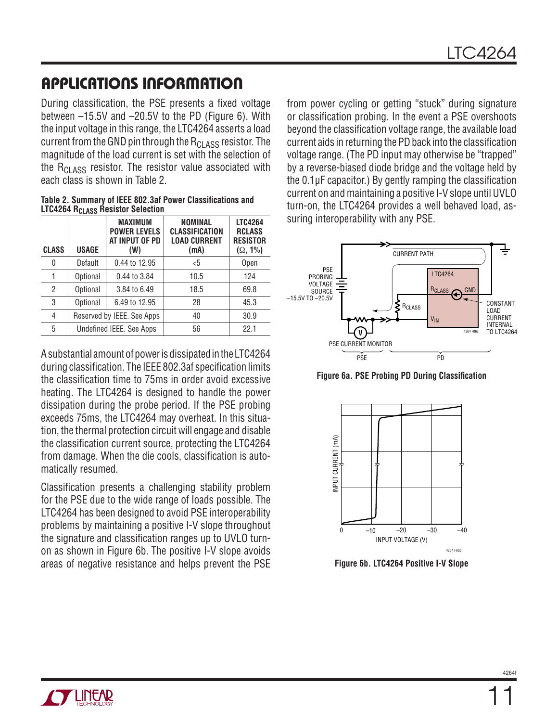During classification, the PSE presents a fixed voltage between –15.5V and –20.5V to the PD (Figure 6). With the input voltage in this range, the LTC4264 asserts a load current from the GND pin through the  $R_{C1,ASS}$  resistor. The magnitude of the load current is set with the selection of the  $R_{CIASS}$  resistor. The resistor value associated with each class is shown in Table 2.

|                                                     | Table 2. Summary of IEEE 802.3af Power Classifications and |
|-----------------------------------------------------|------------------------------------------------------------|
| <b>LTC4264 R<sub>CLASS</sub> Resistor Selection</b> |                                                            |

| <b>CLASS</b> | USAGE                      | <b>MAXIMUM</b><br><b>POWER LEVELS</b><br>AT INPUT OF PD<br>(W) | <b>NOMINAL</b><br><b>CLASSIFICATION</b><br><b>LOAD CURRENT</b><br>(mA) | <b>LTC4264</b><br><b>RCLASS</b><br><b>RESISTOR</b><br>$(\Omega, 1\%)$ |
|--------------|----------------------------|----------------------------------------------------------------|------------------------------------------------------------------------|-----------------------------------------------------------------------|
| 0            | Default                    | 0.44 to 12.95                                                  | $5$                                                                    | Open                                                                  |
| 1            | Optional                   | 0.44 to 3.84                                                   | 10.5                                                                   | 124                                                                   |
| 2            | Optional                   | 3.84 to 6.49                                                   | 18.5                                                                   | 69.8                                                                  |
| 3            | Optional                   | 6.49 to 12.95                                                  | 28                                                                     | 45.3                                                                  |
| 4            | Reserved by IEEE. See Apps |                                                                | 40                                                                     | 30.9                                                                  |
| 5            | Undefined IEEE. See Apps   |                                                                | 56                                                                     | 22.1                                                                  |

A substantial amount of power is dissipated in the LTC4264 during classification. The IEEE 802.3af specification limits the classification time to 75ms in order avoid excessive heating. The LTC4264 is designed to handle the power dissipation during the probe period. If the PSE probing exceeds 75ms, the LTC4264 may overheat. In this situation, the thermal protection circuit will engage and disable the classification current source, protecting the LTC4264 from damage. When the die cools, classification is automatically resumed.

Classification presents a challenging stability problem for the PSE due to the wide range of loads possible. The LTC4264 has been designed to avoid PSE interoperability problems by maintaining a positive I-V slope throughout the signature and classification ranges up to UVLO turnon as shown in Figure 6b. The positive I-V slope avoids areas of negative resistance and helps prevent the PSE

from power cycling or getting "stuck" during signature or classification probing. In the event a PSE overshoots beyond the classification voltage range, the available load current aids in returning the PD back into the classification voltage range. (The PD input may otherwise be "trapped" by a reverse-biased diode bridge and the voltage held by the  $0.1\mu$ F capacitor.) By gently ramping the classification current on and maintaining a positive I-V slope until UVLO turn-on, the LTC4264 provides a well behaved load, assuring interoperability with any PSE.



**Figure 6a. PSE Probing PD During Classification** 



**Figure 6b. LTC4264 Positive I-V Slope**

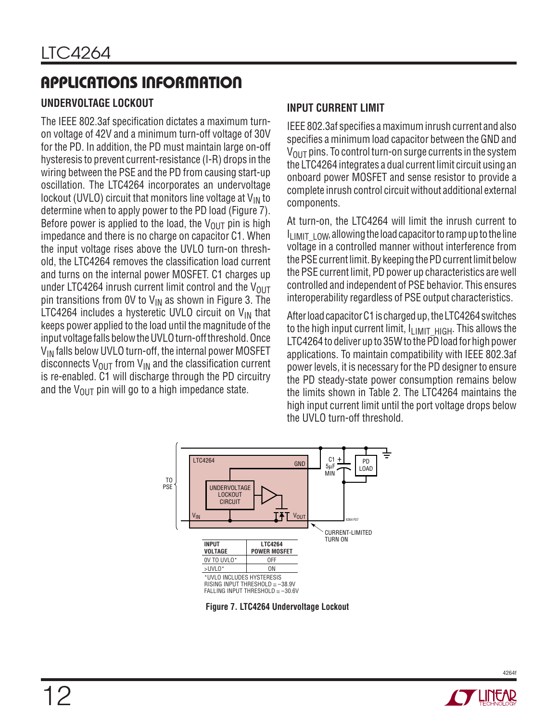### **UNDERVOLTAGE LOCKOUT**

The IEEE 802.3af specification dictates a maximum turnon voltage of 42V and a minimum turn-off voltage of 30V for the PD. In addition, the PD must maintain large on-off hysteresis to prevent current-resistance (I-R) drops in the wiring between the PSE and the PD from causing start-up oscillation. The LTC4264 incorporates an undervoltage lockout (UVLO) circuit that monitors line voltage at  $V_{IN}$  to determine when to apply power to the PD load (Figure 7). Before power is applied to the load, the  $V_{\text{OUT}}$  pin is high impedance and there is no charge on capacitor C1. When the input voltage rises above the UVLO turn-on threshold, the LTC4264 removes the classification load current and turns on the internal power MOSFET. C1 charges up under LTC4264 inrush current limit control and the  $V_{OUT}$ pin transitions from OV to  $V_{IN}$  as shown in Figure 3. The LTC4264 includes a hysteretic UVLO circuit on  $V_{IN}$  that keeps power applied to the load until the magnitude of the input voltage falls below the UVLO turn-off threshold. Once  $V_{IN}$  falls below UVLO turn-off, the internal power MOSFET disconnects  $V_{\text{OUT}}$  from  $V_{\text{IN}}$  and the classification current is re-enabled. C1 will discharge through the PD circuitry and the  $V_{\text{OUT}}$  pin will go to a high impedance state.

### **INPUT CURRENT LIMIT**

IEEE 802.3af specifies a maximum inrush current and also specifies a minimum load capacitor between the GND and  $V<sub>OUT</sub>$  pins. To control turn-on surge currents in the system the LTC4264 integrates a dual current limit circuit using an onboard power MOSFET and sense resistor to provide a complete inrush control circuit without additional external components.

At turn-on, the LTC4264 will limit the inrush current to  $I<sub>l</sub>$  IMIT  $\perp$  OW, allowing the load capacitor to ramp up to the line voltage in a controlled manner without interference from the PSE current limit. By keeping the PD current limit below the PSE current limit, PD power up characteristics are well controlled and independent of PSE behavior. This ensures interoperability regardless of PSE output characteristics.

After load capacitor C1 is charged up, the LTC4264 switches to the high input current limit,  $I_{LIMITHIGH}$ . This allows the LTC4264 to deliver up to 35W to the PD load for high power applications. To maintain compatibility with IEEE 802.3af power levels, it is necessary for the PD designer to ensure the PD steady-state power consumption remains below the limits shown in Table 2. The LTC4264 maintains the high input current limit until the port voltage drops below the UVLO turn-off threshold.



**Figure 7. LTC4264 Undervoltage Lockout**

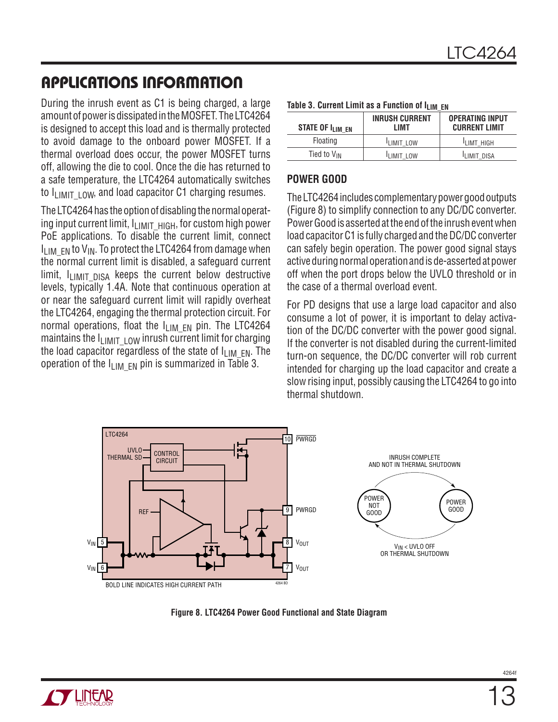During the inrush event as C1 is being charged, a large amount of power is dissipated in the MOSFET. The LTC4264 is designed to accept this load and is thermally protected to avoid damage to the onboard power MOSFET. If a thermal overload does occur, the power MOSFET turns off, allowing the die to cool. Once the die has returned to a safe temperature, the LTC4264 automatically switches to  $I_{\text{LIMIT-LOW}}$ , and load capacitor C1 charging resumes.

The LTC4264 has the option of disabling the normal operating input current limit, ILIMIT\_HIGH, for custom high power PoE applications. To disable the current limit, connect  $I_{IJMFN}$  to  $V_{IN}$ . To protect the LTC4264 from damage when the normal current limit is disabled, a safequard current limit,  $I_{LIMIT,DISA}$  keeps the current below destructive levels, typically 1.4A. Note that continuous operation at or near the safeguard current limit will rapidly overheat the LTC4264, engaging the thermal protection circuit. For normal operations, float the  $I_{LIMEN}$  pin. The LTC4264 maintains the  $I_{LIMITLOW}$  inrush current limit for charging the load capacitor regardless of the state of  $I_{LIMEN}$ . The operation of the  $I_{\text{LIM}}$  <sub>FN</sub> pin is summarized in Table 3.

| STATE OF I <sub>lim_en</sub> | <b>INRUSH CURRENT</b><br>I IMT | <b>OPERATING INPUT</b><br><b>CURRENT LIMIT</b> |  |  |
|------------------------------|--------------------------------|------------------------------------------------|--|--|
| Floating                     | <b>LIMIT LOW</b>               | <b>LIMT HIGH</b>                               |  |  |
| Tied to $V_{IN}$             | <b>LIMIT LOW</b>               | <b>LIMIT DISA</b>                              |  |  |

#### **Table 3. Current Limit as a Function of LUM EN**

### **POWER GOOD**

The LTC4264 includes complementary power good outputs (Figure 8) to simplify connection to any DC/DC converter. Power Good is asserted at the end of the inrush event when load capacitor C1 is fully charged and the DC/DC converter can safely begin operation. The power good signal stays active during normal operation and is de-asserted at power off when the port drops below the UVLO threshold or in the case of a thermal overload event.

For PD designs that use a large load capacitor and also consume a lot of power, it is important to delay activation of the DC/DC converter with the power good signal. If the converter is not disabled during the current-limited turn-on sequence, the DC/DC converter will rob current intended for charging up the load capacitor and create a slow rising input, possibly causing the LTC4264 to go into thermal shutdown.



**Figure 8. LTC4264 Power Good Functional and State Diagram**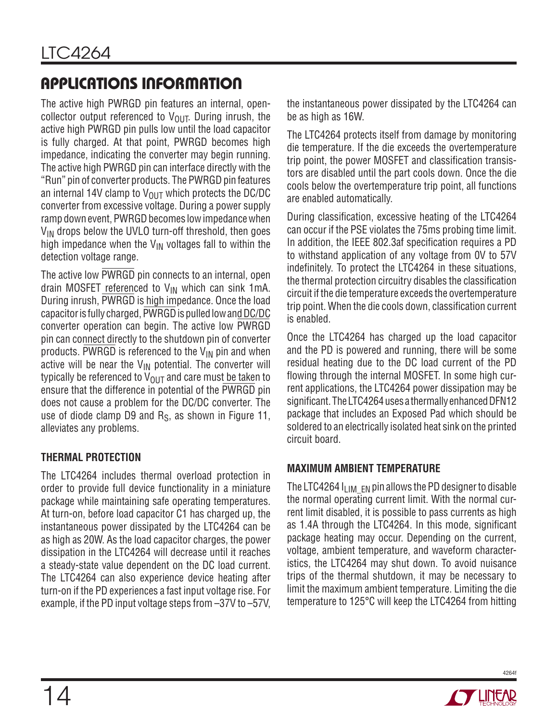The active high PWRGD pin features an internal, opencollector output referenced to  $V_{\text{OUT}}$ . During inrush, the active high PWRGD pin pulls low until the load capacitor is fully charged. At that point, PWRGD becomes high impedance, indicating the converter may begin running. The active high PWRGD pin can interface directly with the "Run" pin of converter products. The PWRGD pin features an internal 14V clamp to  $V_{OUT}$  which protects the DC/DC converter from excessive voltage. During a power supply ramp down event, PWRGD becomes low impedance when  $V_{IN}$  drops below the UVLO turn-off threshold, then goes high impedance when the  $V_{\text{IN}}$  voltages fall to within the detection voltage range.

The active low PWRGD pin connects to an internal, open drain MOSFET referenced to  $V_{IN}$  which can sink 1mA. During inrush, PWRGD is high impedance. Once the load capacitor is fully charged, PWRGD is pulled low and DC/DC converter operation can begin. The active low PWRGD pin can connect directly to the shutdown pin of converter products. PWRGD is referenced to the  $V_{IN}$  pin and when active will be near the  $V_{IN}$  potential. The converter will typically be referenced to  $\overline{V_{OUT}}$  and care must be taken to ensure that the difference in potential of the PWRGD pin does not cause a problem for the DC/DC converter. The use of diode clamp D9 and  $R<sub>S</sub>$ , as shown in Figure 11, alleviates any problems.

### **THERMAL PROTECTION**

The LTC4264 includes thermal overload protection in order to provide full device functionality in a miniature package while maintaining safe operating temperatures. At turn-on, before load capacitor C1 has charged up, the instantaneous power dissipated by the LTC4264 can be as high as 20W. As the load capacitor charges, the power dissipation in the LTC4264 will decrease until it reaches a steady-state value dependent on the DC load current. The LTC4264 can also experience device heating after turn-on if the PD experiences a fast input voltage rise. For example, if the PD input voltage steps from –37V to –57V, the instantaneous power dissipated by the LTC4264 can be as high as 16W.

The LTC4264 protects itself from damage by monitoring die temperature. If the die exceeds the overtemperature trip point, the power MOSFET and classification transistors are disabled until the part cools down. Once the die cools below the overtemperature trip point, all functions are enabled automatically.

During classification, excessive heating of the LTC4264 can occur if the PSE violates the 75ms probing time limit. In addition, the IEEE 802.3af specification requires a PD to withstand application of any voltage from 0V to 57V indefinitely. To protect the LTC4264 in these situations, the thermal protection circuitry disables the classification circuit if the die temperature exceeds the overtemperature trip point. When the die cools down, classification current is enabled.

Once the LTC4264 has charged up the load capacitor and the PD is powered and running, there will be some residual heating due to the DC load current of the PD flowing through the internal MOSFET. In some high current applications, the LTC4264 power dissipation may be significant. The LTC4264 uses a thermally enhanced DFN12 package that includes an Exposed Pad which should be soldered to an electrically isolated heat sink on the printed circuit board.

### **MAXIMUM AMBIENT TEMPERATURE**

The LTC4264  $I_{LIMEN}$  en pin allows the PD designer to disable the normal operating current limit. With the normal current limit disabled, it is possible to pass currents as high as 1.4A through the LTC4264. In this mode, significant package heating may occur. Depending on the current, voltage, ambient temperature, and waveform characteristics, the LTC4264 may shut down. To avoid nuisance trips of the thermal shutdown, it may be necessary to limit the maximum ambient temperature. Limiting the die temperature to 125°C will keep the LTC4264 from hitting

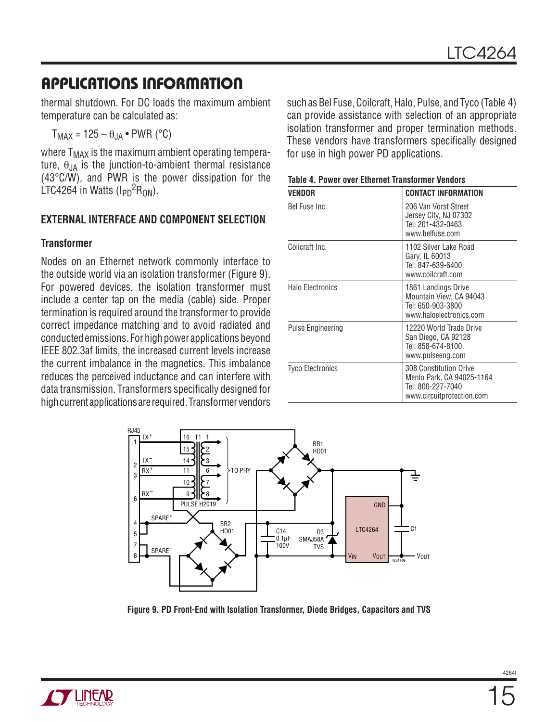thermal shutdown. For DC loads the maximum ambient temperature can be calculated as:

 $T_{MAX} = 125 - \theta_{JA} \cdot PWR$  (°C)

where  $T_{MAX}$  is the maximum ambient operating temperature,  $\theta_{JA}$  is the junction-to-ambient thermal resistance (43°C/W), and PWR is the power dissipation for the LTC4264 in Watts  $(I_{\text{PD}}^2 R_{\text{ON}})$ .

#### **EXTERNAL INTERFACE AND COMPONENT SELECTION**

#### **Transformer**

Nodes on an Ethernet network commonly interface to the outside world via an isolation transformer (Figure 9). For powered devices, the isolation transformer must include a center tap on the media (cable) side. Proper termination is required around the transformer to provide correct impedance matching and to avoid radiated and conducted emissions. For high power applications beyond IEEE 802.3af limits, the increased current levels increase the current imbalance in the magnetics. This imbalance reduces the perceived inductance and can interfere with data transmission. Transformers specifically designed for high current applications are required. Transformer vendors

such as Bel Fuse, Coilcraft, Halo, Pulse, and Tyco (Table 4) can provide assistance with selection of an appropriate isolation transformer and proper termination methods. These vendors have transformers specifically designed for use in high power PD applications.

| VENDOR                  | CONTACT INFORMATION                                                                                          |
|-------------------------|--------------------------------------------------------------------------------------------------------------|
| Bel Fuse Inc.           | 206 Van Vorst Street<br>Jersey City, NJ 07302<br>Tel: 201-432-0463<br>www.belfuse.com                        |
| Coilcraft Inc.          | 1102 Silver Lake Road<br>Gary, IL 60013<br>Tel: 847-639-6400<br>www.coilcraft.com                            |
| <b>Halo Electronics</b> | 1861 Landings Drive<br>Mountain View, CA 94043<br>Tel: 650-903-3800<br>www.haloelectronics.com               |
| Pulse Engineering       | 12220 World Trade Drive<br>San Diego, CA 92128<br>Tel: 858-674-8100<br>www.pulseeng.com                      |
| <b>Tyco Electronics</b> | <b>308 Constitution Drive</b><br>Menlo Park, CA 94025-1164<br>Tel: 800-227-7040<br>www.circuitprotection.com |

| <b>Table 4. Power over Ethernet Transformer Vendors</b> |
|---------------------------------------------------------|
|---------------------------------------------------------|



**Figure 9. PD Front-End with Isolation Transformer, Diode Bridges, Capacitors and TVS**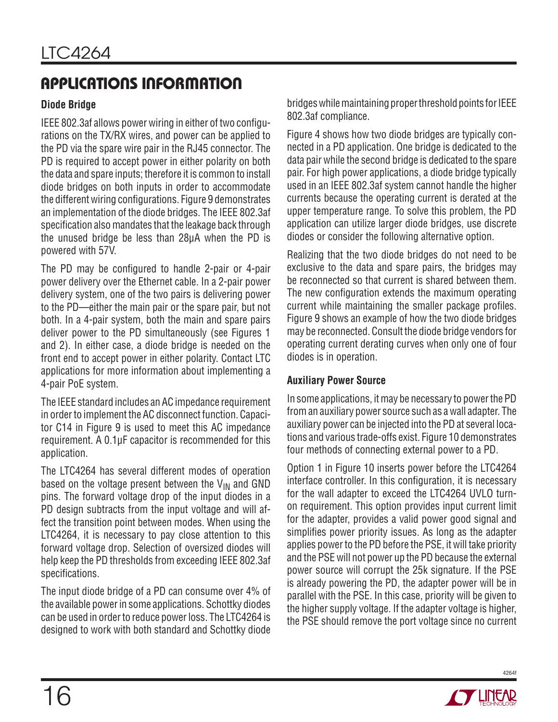### **Diode Bridge**

IEEE 802.3af allows power wiring in either of two configurations on the TX/RX wires, and power can be applied to the PD via the spare wire pair in the RJ45 connector. The PD is required to accept power in either polarity on both the data and spare inputs; therefore it is common to install diode bridges on both inputs in order to accommodate the different wiring configurations. Figure 9 demonstrates an implementation of the diode bridges. The IEEE 802.3af specification also mandates that the leakage back through the unused bridge be less than 28µA when the PD is powered with 57V.

The PD may be configured to handle 2-pair or 4-pair power delivery over the Ethernet cable. In a 2-pair power delivery system, one of the two pairs is delivering power to the PD—either the main pair or the spare pair, but not both. In a 4-pair system, both the main and spare pairs deliver power to the PD simultaneously (see Figures 1 and 2). In either case, a diode bridge is needed on the front end to accept power in either polarity. Contact LTC applications for more information about implementing a 4-pair PoE system.

The IEEE standard includes an AC impedance requirement in order to implement the AC disconnect function. Capacitor C14 in Figure 9 is used to meet this AC impedance requirement. A 0.1µF capacitor is recommended for this application.

The LTC4264 has several different modes of operation based on the voltage present between the  $V_{IN}$  and GND pins. The forward voltage drop of the input diodes in a PD design subtracts from the input voltage and will affect the transition point between modes. When using the LTC4264, it is necessary to pay close attention to this forward voltage drop. Selection of oversized diodes will help keep the PD thresholds from exceeding IEEE 802.3af specifications.

The input diode bridge of a PD can consume over 4% of the available power in some applications. Schottky diodes can be used in order to reduce power loss. The LTC4264 is designed to work with both standard and Schottky diode

bridges while maintaining proper threshold points for IEEE 802.3af compliance.

Figure 4 shows how two diode bridges are typically connected in a PD application. One bridge is dedicated to the data pair while the second bridge is dedicated to the spare pair. For high power applications, a diode bridge typically used in an IEEE 802.3af system cannot handle the higher currents because the operating current is derated at the upper temperature range. To solve this problem, the PD application can utilize larger diode bridges, use discrete diodes or consider the following alternative option.

Realizing that the two diode bridges do not need to be exclusive to the data and spare pairs, the bridges may be reconnected so that current is shared between them. The new configuration extends the maximum operating current while maintaining the smaller package profiles. Figure 9 shows an example of how the two diode bridges may be reconnected. Consult the diode bridge vendors for operating current derating curves when only one of four diodes is in operation.

#### **Auxiliary Power Source**

In some applications, it may be necessary to power the PD from an auxiliary power source such as a wall adapter. The auxiliary power can be injected into the PD at several locations and various trade-offs exist. Figure 10 demonstrates four methods of connecting external power to a PD.

Option 1 in Figure 10 inserts power before the LTC4264 interface controller. In this configuration, it is necessary for the wall adapter to exceed the LTC4264 UVLO turnon requirement. This option provides input current limit for the adapter, provides a valid power good signal and simplifies power priority issues. As long as the adapter applies power to the PD before the PSE, it will take priority and the PSE will not power up the PD because the external power source will corrupt the 25k signature. If the PSE is already powering the PD, the adapter power will be in parallel with the PSE. In this case, priority will be given to the higher supply voltage. If the adapter voltage is higher, the PSE should remove the port voltage since no current

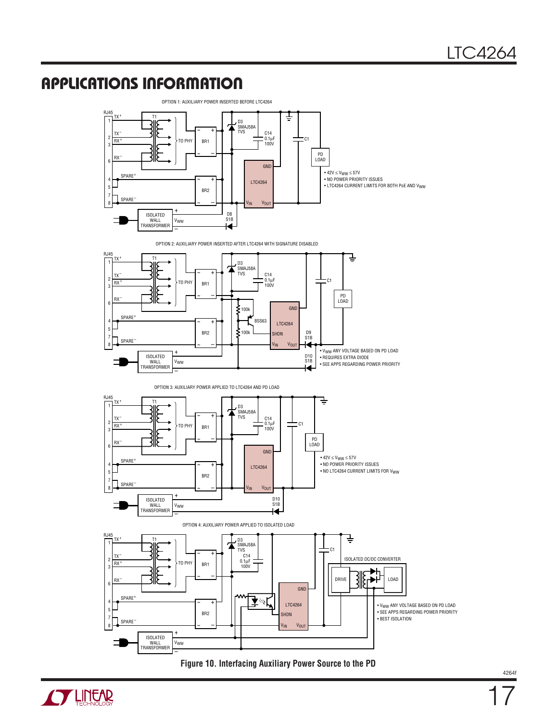

**Figure 10. Interfacing Auxiliary Power Source to the PD**

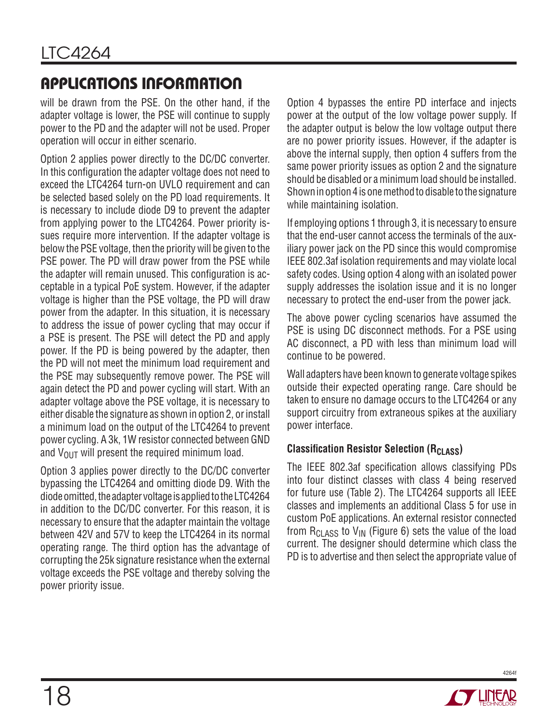will be drawn from the PSE. On the other hand, if the adapter voltage is lower, the PSE will continue to supply power to the PD and the adapter will not be used. Proper operation will occur in either scenario.

Option 2 applies power directly to the DC/DC converter. In this configuration the adapter voltage does not need to exceed the LTC4264 turn-on UVLO requirement and can be selected based solely on the PD load requirements. It is necessary to include diode D9 to prevent the adapter from applying power to the LTC4264. Power priority issues require more intervention. If the adapter voltage is below the PSE voltage, then the priority will be given to the PSE power. The PD will draw power from the PSE while the adapter will remain unused. This configuration is acceptable in a typical PoE system. However, if the adapter voltage is higher than the PSE voltage, the PD will draw power from the adapter. In this situation, it is necessary to address the issue of power cycling that may occur if a PSE is present. The PSE will detect the PD and apply power. If the PD is being powered by the adapter, then the PD will not meet the minimum load requirement and the PSE may subsequently remove power. The PSE will again detect the PD and power cycling will start. With an adapter voltage above the PSE voltage, it is necessary to either disable the signature as shown in option 2, or install a minimum load on the output of the LTC4264 to prevent power cycling. A 3k, 1W resistor connected between GND and  $V_{\text{OUT}}$  will present the required minimum load.

Option 3 applies power directly to the DC/DC converter bypassing the LTC4264 and omitting diode D9. With the diode omitted, the adapter voltage is applied to the LTC4264 in addition to the DC/DC converter. For this reason, it is necessary to ensure that the adapter maintain the voltage between 42V and 57V to keep the LTC4264 in its normal operating range. The third option has the advantage of corrupting the 25k signature resistance when the external voltage exceeds the PSE voltage and thereby solving the power priority issue.

Option 4 bypasses the entire PD interface and injects power at the output of the low voltage power supply. If the adapter output is below the low voltage output there are no power priority issues. However, if the adapter is above the internal supply, then option 4 suffers from the same power priority issues as option 2 and the signature should be disabled or a minimum load should be installed. Shown in option 4 is one method to disable to the signature while maintaining isolation.

If employing options 1 through 3, it is necessary to ensure that the end-user cannot access the terminals of the auxiliary power jack on the PD since this would compromise IEEE 802.3af isolation requirements and may violate local safety codes. Using option 4 along with an isolated power supply addresses the isolation issue and it is no longer necessary to protect the end-user from the power jack.

The above power cycling scenarios have assumed the PSE is using DC disconnect methods. For a PSE using AC disconnect, a PD with less than minimum load will continue to be powered.

Wall adapters have been known to generate voltage spikes outside their expected operating range. Care should be taken to ensure no damage occurs to the LTC4264 or any support circuitry from extraneous spikes at the auxiliary power interface.

#### **Classification Resistor Selection (RCLASS)**

The IEEE 802.3af specification allows classifying PDs into four distinct classes with class 4 being reserved for future use (Table 2). The LTC4264 supports all IEEE classes and implements an additional Class 5 for use in custom PoE applications. An external resistor connected from  $R_{CLASS}$  to  $V_{IN}$  (Figure 6) sets the value of the load current. The designer should determine which class the PD is to advertise and then select the appropriate value of

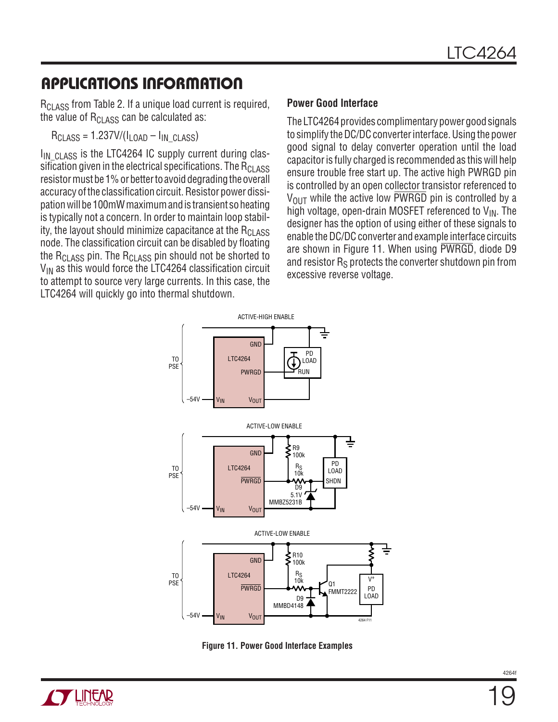$R_{\rm CLASS}$  from Table 2. If a unique load current is required, the value of  $\rm R_{\rm CLASS}$  can be calculated as:

 $R_{\text{CLASS}} = 1.237 \frac{V}{I_{\text{LOAD}} - I_{\text{IN}} \text{ CLASS}}$ 

I<sub>IN</sub> CLASS is the LTC4264 IC supply current during classification given in the electrical specifications. The  $R_{CI|ASS}$ resistor must be 1% or better to avoid degrading the overall accuracy of the classification circuit. Resistor power dissipation will be 100mW maximum and is transient so heating is typically not a concern. In order to maintain loop stability, the layout should minimize capacitance at the  $R<sub>CIASS</sub>$ node. The classification circuit can be disabled by floating the  $R_{CI|ASS}$  pin. The  $R_{CI|ASS}$  pin should not be shorted to  $V_{IN}$  as this would force the LTC4264 classification circuit to attempt to source very large currents. In this case, the LTC4264 will quickly go into thermal shutdown.

#### **Power Good Interface**

The LTC4264 provides complimentary power good signals to simplify the DC/DC converter interface. Using the power good signal to delay converter operation until the load capacitor is fully charged is recommended as this will help ensure trouble free start up. The active high PWRGD pin is controlled by an open collector transistor referenced to  $V_{\text{OUT}}$  while the active low PWRGD pin is controlled by a high voltage, open-drain MOSFET referenced to  $V_{IN}$ . The designer has the option of using either of these signals to enable the DC/DC converter and example interface circuits are shown in Figure 11. When using PWRGD, diode D9 and resistor R<sub>S</sub> protects the converter shutdown pin from excessive reverse voltage.



**Figure 11. Power Good Interface Examples**

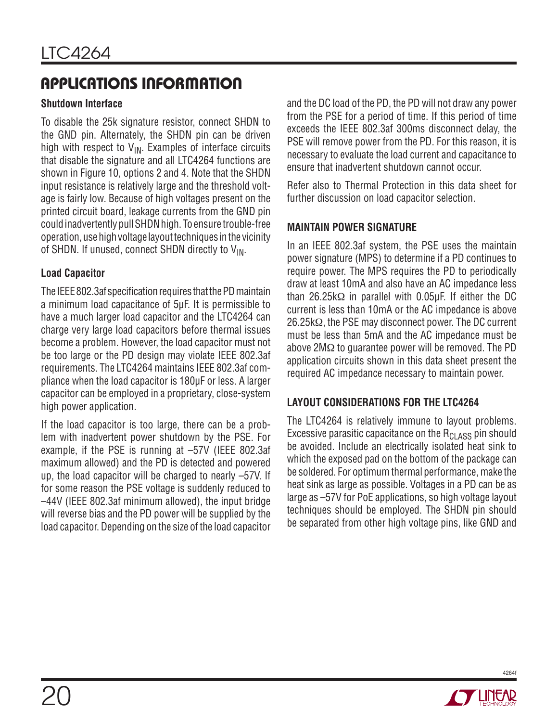#### **Shutdown Interface**

To disable the 25k signature resistor, connect SHDN to the GND pin. Alternately, the SHDN pin can be driven high with respect to  $V_{IN}$ . Examples of interface circuits that disable the signature and all LTC4264 functions are shown in Figure 10, options 2 and 4. Note that the SHDN input resistance is relatively large and the threshold voltage is fairly low. Because of high voltages present on the printed circuit board, leakage currents from the GND pin could inadvertently pull SHDN high. To ensure trouble-free operation, use high voltage layout techniques in the vicinity of SHDN. If unused, connect SHDN directly to  $V_{IN}$ .

#### **Load Capacitor**

The IEEE 802.3af specification requires that the PD maintain a minimum load capacitance of 5µF. It is permissible to have a much larger load capacitor and the LTC4264 can charge very large load capacitors before thermal issues become a problem. However, the load capacitor must not be too large or the PD design may violate IEEE 802.3af requirements. The LTC4264 maintains IEEE 802.3af compliance when the load capacitor is 180µF or less. A larger capacitor can be employed in a proprietary, close-system high power application.

If the load capacitor is too large, there can be a problem with inadvertent power shutdown by the PSE. For example, if the PSE is running at –57V (IEEE 802.3af maximum allowed) and the PD is detected and powered up, the load capacitor will be charged to nearly –57V. If for some reason the PSE voltage is suddenly reduced to –44V (IEEE 802.3af minimum allowed), the input bridge will reverse bias and the PD power will be supplied by the load capacitor. Depending on the size of the load capacitor

and the DC load of the PD, the PD will not draw any power from the PSE for a period of time. If this period of time exceeds the IEEE 802.3af 300ms disconnect delay, the PSE will remove power from the PD. For this reason, it is necessary to evaluate the load current and capacitance to ensure that inadvertent shutdown cannot occur.

Refer also to Thermal Protection in this data sheet for further discussion on load capacitor selection.

#### **MAINTAIN POWER SIGNATURE**

In an IEEE 802.3af system, the PSE uses the maintain power signature (MPS) to determine if a PD continues to require power. The MPS requires the PD to periodically draw at least 10mA and also have an AC impedance less than 26.25kΩ in parallel with 0.05µF. If either the DC current is less than 10mA or the AC impedance is above 26.25kΩ, the PSE may disconnect power. The DC current must be less than 5mA and the AC impedance must be above 2MΩ to guarantee power will be removed. The PD application circuits shown in this data sheet present the required AC impedance necessary to maintain power.

### **LAYOUT CONSIDERATIONS FOR THE LTC4264**

The LTC4264 is relatively immune to layout problems. Excessive parasitic capacitance on the  $R_{CI|ASS}$  pin should be avoided. Include an electrically isolated heat sink to which the exposed pad on the bottom of the package can be soldered. For optimum thermal performance, make the heat sink as large as possible. Voltages in a PD can be as large as –57V for PoE applications, so high voltage layout techniques should be employed. The SHDN pin should be separated from other high voltage pins, like GND and

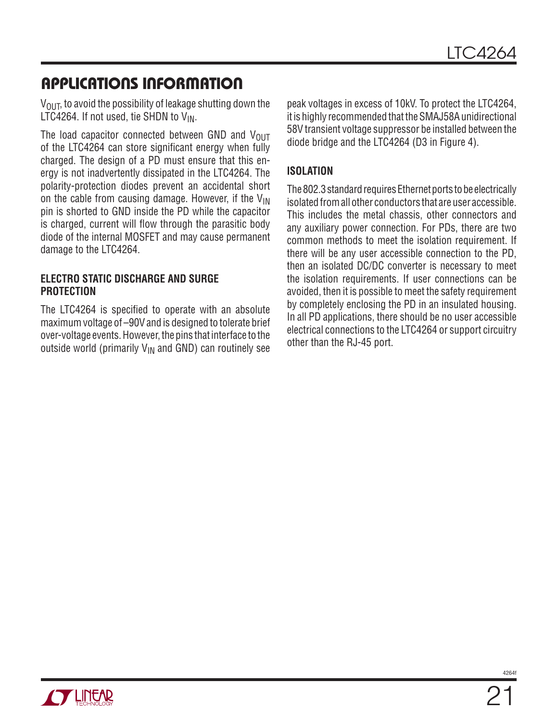$V<sub>OUT</sub>$ , to avoid the possibility of leakage shutting down the LTC4264. If not used, tie SHDN to  $V_{IN}$ .

The load capacitor connected between GND and  $V_{\text{OUT}}$ of the LTC4264 can store significant energy when fully charged. The design of a PD must ensure that this energy is not inadvertently dissipated in the LTC4264. The polarity-protection diodes prevent an accidental short on the cable from causing damage. However, if the  $V_{\text{IN}}$ pin is shorted to GND inside the PD while the capacitor is charged, current will flow through the parasitic body diode of the internal MOSFET and may cause permanent damage to the LTC4264.

#### **ELECTRO STATIC DISCHARGE AND SURGE PROTECTION**

The LTC4264 is specified to operate with an absolute maximum voltage of –90V and is designed to tolerate brief over-voltage events. However, the pins that interface to the outside world (primarily  $V_{IN}$  and GND) can routinely see

peak voltages in excess of 10kV. To protect the LTC4264, it is highly recommended that the SMAJ58A unidirectional 58V transient voltage suppressor be installed between the diode bridge and the LTC4264 (D3 in Figure 4).

### **ISOLATION**

The 802.3 standard requires Ethernet ports to be electrically isolated from all other conductors that are user accessible. This includes the metal chassis, other connectors and any auxiliary power connection. For PDs, there are two common methods to meet the isolation requirement. If there will be any user accessible connection to the PD, then an isolated DC/DC converter is necessary to meet the isolation requirements. If user connections can be avoided, then it is possible to meet the safety requirement by completely enclosing the PD in an insulated housing. In all PD applications, there should be no user accessible electrical connections to the LTC4264 or support circuitry other than the RJ-45 port.

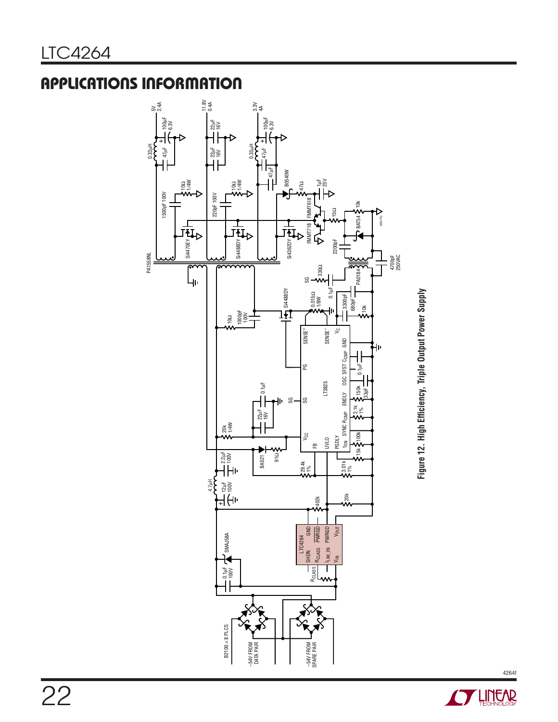0.33µH

PA1558NL



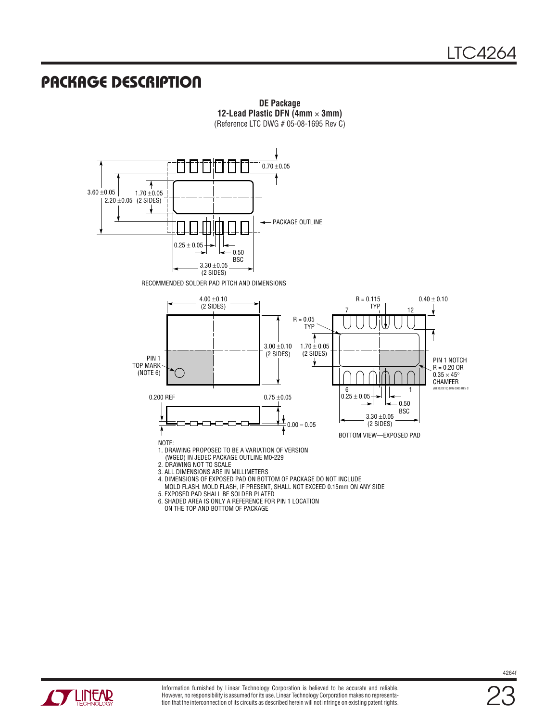### **PACKAGE DESCRIPTION**



**DE Package 12-Lead Plastic DFN (4mm** × **3mm)** (Reference LTC DWG # 05-08-1695 Rev C)

 MOLD FLASH. MOLD FLASH, IF PRESENT, SHALL NOT EXCEED 0.15mm ON ANY SIDE 5. EXPOSED PAD SHALL BE SOLDER PLATED 6. SHADED AREA IS ONLY A REFERENCE FOR PIN 1 LOCATION

ON THE TOP AND BOTTOM OF PACKAGE